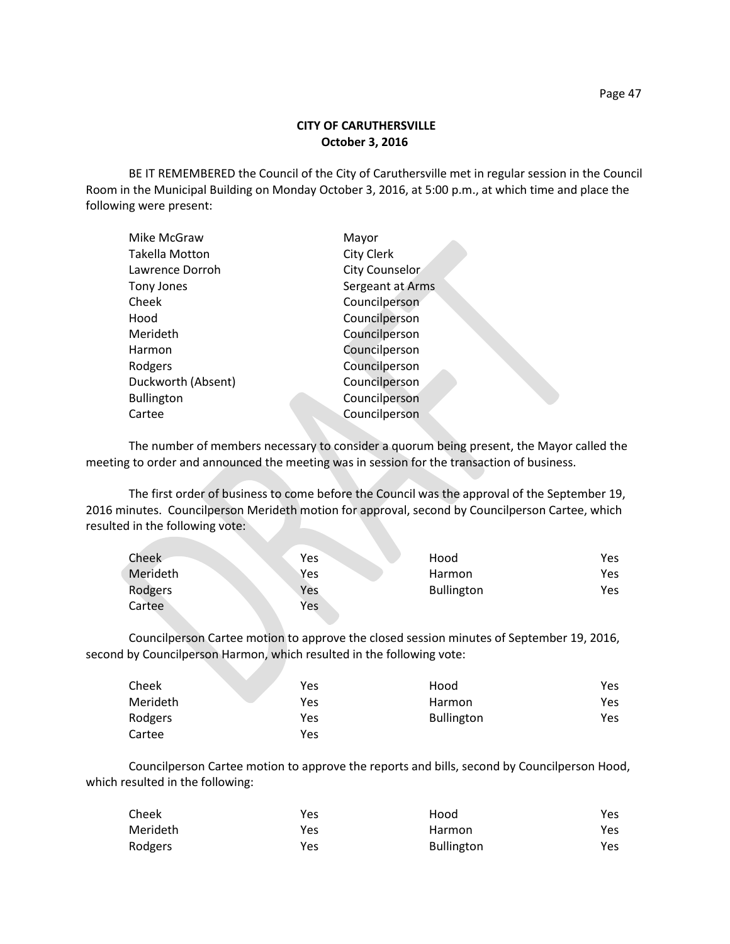## **CITY OF CARUTHERSVILLE October 3, 2016**

BE IT REMEMBERED the Council of the City of Caruthersville met in regular session in the Council Room in the Municipal Building on Monday October 3, 2016, at 5:00 p.m., at which time and place the following were present:

| Mike McGraw        | Mayor                 |
|--------------------|-----------------------|
| Takella Motton     | City Clerk            |
| Lawrence Dorroh    | <b>City Counselor</b> |
| Tony Jones         | Sergeant at Arms      |
| Cheek              | Councilperson         |
| Hood               | Councilperson         |
| Merideth           | Councilperson         |
| Harmon             | Councilperson         |
| Rodgers            | Councilperson         |
| Duckworth (Absent) | Councilperson         |
| <b>Bullington</b>  | Councilperson         |
| Cartee             | Councilperson         |
|                    |                       |

The number of members necessary to consider a quorum being present, the Mayor called the meeting to order and announced the meeting was in session for the transaction of business.

The first order of business to come before the Council was the approval of the September 19, 2016 minutes. Councilperson Merideth motion for approval, second by Councilperson Cartee, which resulted in the following vote:

| Cheek    | <b>Yes</b> | Hood              | Yes. |
|----------|------------|-------------------|------|
| Merideth | Yes        | Harmon            | Yes  |
| Rodgers  | Yes        | <b>Bullington</b> | Yes  |
| Cartee   | Yes        |                   |      |

Councilperson Cartee motion to approve the closed session minutes of September 19, 2016, second by Councilperson Harmon, which resulted in the following vote:

| Cheek    | <b>Contract Contract Contract</b><br>Yes | Hood              | Yes |
|----------|------------------------------------------|-------------------|-----|
| Merideth | Yes                                      | Harmon            | Yes |
| Rodgers  | Yes                                      | <b>Bullington</b> | Yes |
| Cartee   | Yes                                      |                   |     |

Councilperson Cartee motion to approve the reports and bills, second by Councilperson Hood, which resulted in the following:

| Cheek    | Yes | Hood              | Yes  |
|----------|-----|-------------------|------|
| Merideth | Yes | Harmon            | Yes. |
| Rodgers  | Yes | <b>Bullington</b> | Yes  |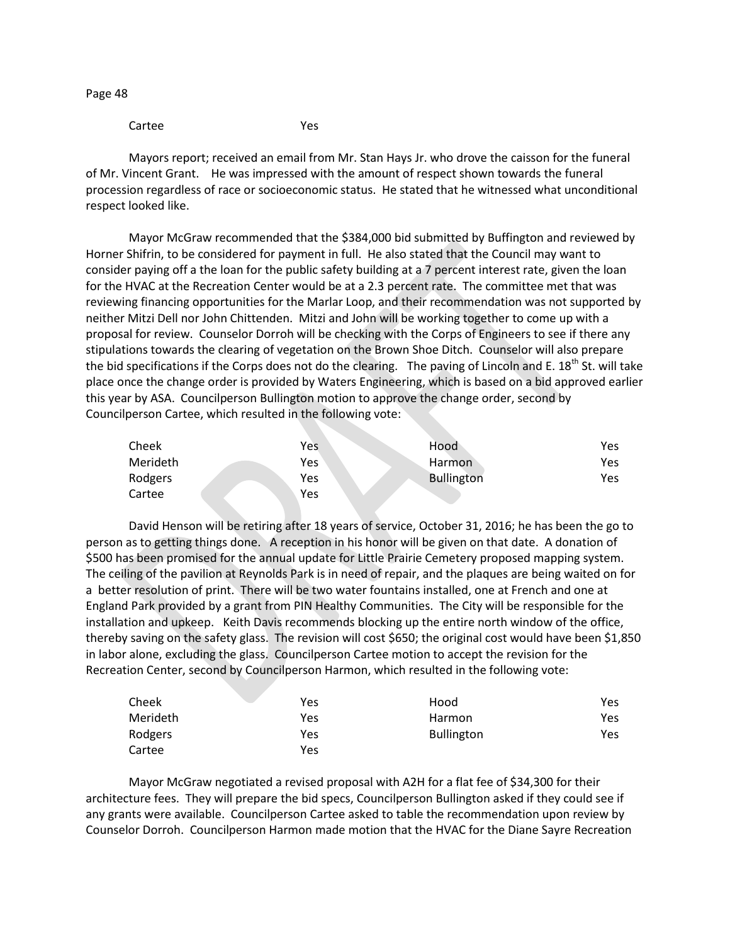Page 48

Cartee Yes

Mayors report; received an email from Mr. Stan Hays Jr. who drove the caisson for the funeral of Mr. Vincent Grant. He was impressed with the amount of respect shown towards the funeral procession regardless of race or socioeconomic status. He stated that he witnessed what unconditional respect looked like.

Mayor McGraw recommended that the \$384,000 bid submitted by Buffington and reviewed by Horner Shifrin, to be considered for payment in full. He also stated that the Council may want to consider paying off a the loan for the public safety building at a 7 percent interest rate, given the loan for the HVAC at the Recreation Center would be at a 2.3 percent rate. The committee met that was reviewing financing opportunities for the Marlar Loop, and their recommendation was not supported by neither Mitzi Dell nor John Chittenden. Mitzi and John will be working together to come up with a proposal for review. Counselor Dorroh will be checking with the Corps of Engineers to see if there any stipulations towards the clearing of vegetation on the Brown Shoe Ditch. Counselor will also prepare the bid specifications if the Corps does not do the clearing. The paving of Lincoln and E. 18<sup>th</sup> St. will take place once the change order is provided by Waters Engineering, which is based on a bid approved earlier this year by ASA. Councilperson Bullington motion to approve the change order, second by Councilperson Cartee, which resulted in the following vote:

| Cheek    | Yes | Hood              | Yes |
|----------|-----|-------------------|-----|
| Merideth | Yes | Harmon            | Yes |
| Rodgers  | Yes | <b>Bullington</b> | Yes |
| Cartee   | Yes |                   |     |

David Henson will be retiring after 18 years of service, October 31, 2016; he has been the go to person as to getting things done. A reception in his honor will be given on that date. A donation of \$500 has been promised for the annual update for Little Prairie Cemetery proposed mapping system. The ceiling of the pavilion at Reynolds Park is in need of repair, and the plaques are being waited on for a better resolution of print. There will be two water fountains installed, one at French and one at England Park provided by a grant from PIN Healthy Communities. The City will be responsible for the installation and upkeep. Keith Davis recommends blocking up the entire north window of the office, thereby saving on the safety glass. The revision will cost \$650; the original cost would have been \$1,850 in labor alone, excluding the glass. Councilperson Cartee motion to accept the revision for the Recreation Center, second by Councilperson Harmon, which resulted in the following vote:

| Cheek    | Yes | Hood              | Yes |
|----------|-----|-------------------|-----|
| Merideth | Yes | <b>Harmon</b>     | Yes |
| Rodgers  | Yes | <b>Bullington</b> | Yes |
| Cartee   | Yes |                   |     |

Mayor McGraw negotiated a revised proposal with A2H for a flat fee of \$34,300 for their architecture fees. They will prepare the bid specs, Councilperson Bullington asked if they could see if any grants were available. Councilperson Cartee asked to table the recommendation upon review by Counselor Dorroh. Councilperson Harmon made motion that the HVAC for the Diane Sayre Recreation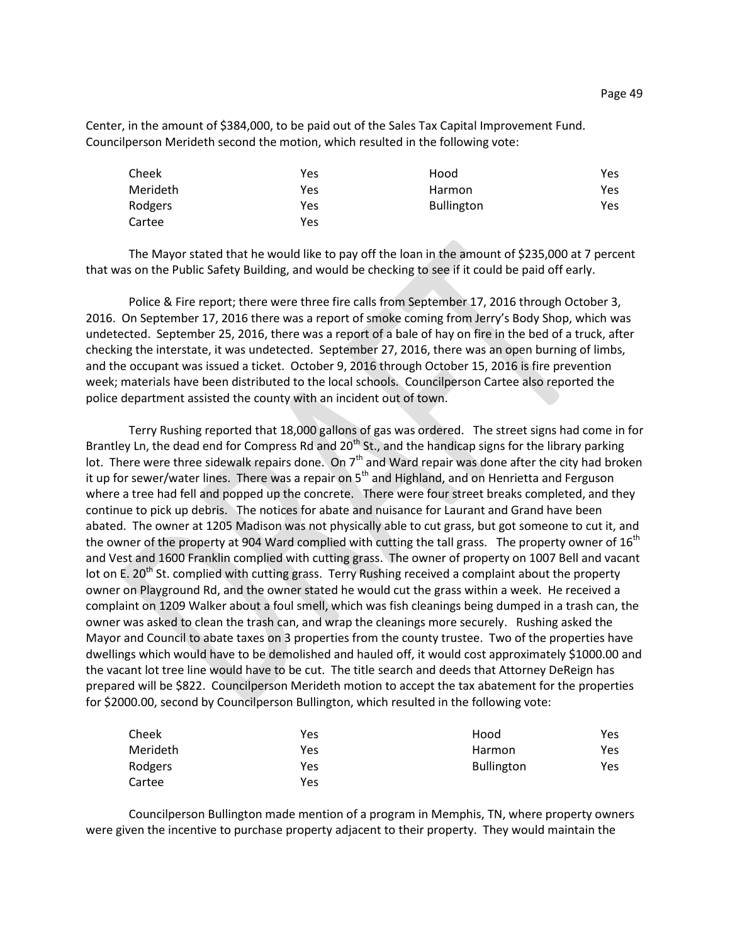Center, in the amount of \$384,000, to be paid out of the Sales Tax Capital Improvement Fund. Councilperson Merideth second the motion, which resulted in the following vote:

| Cheek    | Yes | Hood              | Yes |
|----------|-----|-------------------|-----|
| Merideth | Yes | Harmon            | Yes |
| Rodgers  | Yes | <b>Bullington</b> | Yes |
| Cartee   | Yes |                   |     |

The Mayor stated that he would like to pay off the loan in the amount of \$235,000 at 7 percent that was on the Public Safety Building, and would be checking to see if it could be paid off early.

Police & Fire report; there were three fire calls from September 17, 2016 through October 3, 2016. On September 17, 2016 there was a report of smoke coming from Jerry's Body Shop, which was undetected. September 25, 2016, there was a report of a bale of hay on fire in the bed of a truck, after checking the interstate, it was undetected. September 27, 2016, there was an open burning of limbs, and the occupant was issued a ticket. October 9, 2016 through October 15, 2016 is fire prevention week; materials have been distributed to the local schools. Councilperson Cartee also reported the police department assisted the county with an incident out of town.

Terry Rushing reported that 18,000 gallons of gas was ordered. The street signs had come in for Brantley Ln, the dead end for Compress Rd and  $20<sup>th</sup>$  St., and the handicap signs for the library parking lot. There were three sidewalk repairs done. On  $7<sup>th</sup>$  and Ward repair was done after the city had broken it up for sewer/water lines. There was a repair on  $5<sup>th</sup>$  and Highland, and on Henrietta and Ferguson where a tree had fell and popped up the concrete. There were four street breaks completed, and they continue to pick up debris. The notices for abate and nuisance for Laurant and Grand have been abated. The owner at 1205 Madison was not physically able to cut grass, but got someone to cut it, and the owner of the property at 904 Ward complied with cutting the tall grass. The property owner of 16<sup>th</sup> and Vest and 1600 Franklin complied with cutting grass. The owner of property on 1007 Bell and vacant lot on E. 20<sup>th</sup> St. complied with cutting grass. Terry Rushing received a complaint about the property owner on Playground Rd, and the owner stated he would cut the grass within a week. He received a complaint on 1209 Walker about a foul smell, which was fish cleanings being dumped in a trash can, the owner was asked to clean the trash can, and wrap the cleanings more securely. Rushing asked the Mayor and Council to abate taxes on 3 properties from the county trustee. Two of the properties have dwellings which would have to be demolished and hauled off, it would cost approximately \$1000.00 and the vacant lot tree line would have to be cut. The title search and deeds that Attorney DeReign has prepared will be \$822. Councilperson Merideth motion to accept the tax abatement for the properties for \$2000.00, second by Councilperson Bullington, which resulted in the following vote:

| Cheek    | Yes | Hood              | Yes  |
|----------|-----|-------------------|------|
| Merideth | Yes | Harmon            | Yes  |
| Rodgers  | Yes | <b>Bullington</b> | Yes. |
| Cartee   | Yes |                   |      |

Councilperson Bullington made mention of a program in Memphis, TN, where property owners were given the incentive to purchase property adjacent to their property. They would maintain the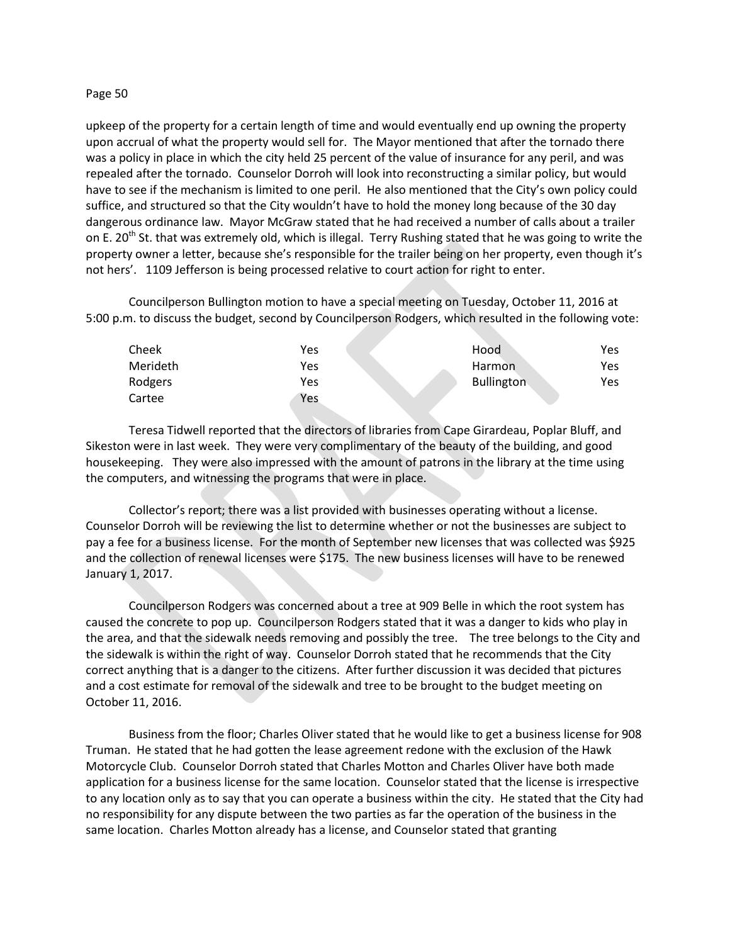### Page 50

upkeep of the property for a certain length of time and would eventually end up owning the property upon accrual of what the property would sell for. The Mayor mentioned that after the tornado there was a policy in place in which the city held 25 percent of the value of insurance for any peril, and was repealed after the tornado. Counselor Dorroh will look into reconstructing a similar policy, but would have to see if the mechanism is limited to one peril. He also mentioned that the City's own policy could suffice, and structured so that the City wouldn't have to hold the money long because of the 30 day dangerous ordinance law. Mayor McGraw stated that he had received a number of calls about a trailer on E. 20<sup>th</sup> St. that was extremely old, which is illegal. Terry Rushing stated that he was going to write the property owner a letter, because she's responsible for the trailer being on her property, even though it's not hers'. 1109 Jefferson is being processed relative to court action for right to enter.

Councilperson Bullington motion to have a special meeting on Tuesday, October 11, 2016 at 5:00 p.m. to discuss the budget, second by Councilperson Rodgers, which resulted in the following vote:

| Cheek    | Yes | Hood              | Yes  |
|----------|-----|-------------------|------|
| Merideth | Yes | Harmon            | Yes. |
| Rodgers  | Yes | <b>Bullington</b> | Yes  |
| Cartee   | Yes |                   |      |

Teresa Tidwell reported that the directors of libraries from Cape Girardeau, Poplar Bluff, and Sikeston were in last week. They were very complimentary of the beauty of the building, and good housekeeping. They were also impressed with the amount of patrons in the library at the time using the computers, and witnessing the programs that were in place.

Collector's report; there was a list provided with businesses operating without a license. Counselor Dorroh will be reviewing the list to determine whether or not the businesses are subject to pay a fee for a business license. For the month of September new licenses that was collected was \$925 and the collection of renewal licenses were \$175. The new business licenses will have to be renewed January 1, 2017.

Councilperson Rodgers was concerned about a tree at 909 Belle in which the root system has caused the concrete to pop up. Councilperson Rodgers stated that it was a danger to kids who play in the area, and that the sidewalk needs removing and possibly the tree. The tree belongs to the City and the sidewalk is within the right of way. Counselor Dorroh stated that he recommends that the City correct anything that is a danger to the citizens. After further discussion it was decided that pictures and a cost estimate for removal of the sidewalk and tree to be brought to the budget meeting on October 11, 2016.

Business from the floor; Charles Oliver stated that he would like to get a business license for 908 Truman. He stated that he had gotten the lease agreement redone with the exclusion of the Hawk Motorcycle Club. Counselor Dorroh stated that Charles Motton and Charles Oliver have both made application for a business license for the same location. Counselor stated that the license is irrespective to any location only as to say that you can operate a business within the city. He stated that the City had no responsibility for any dispute between the two parties as far the operation of the business in the same location. Charles Motton already has a license, and Counselor stated that granting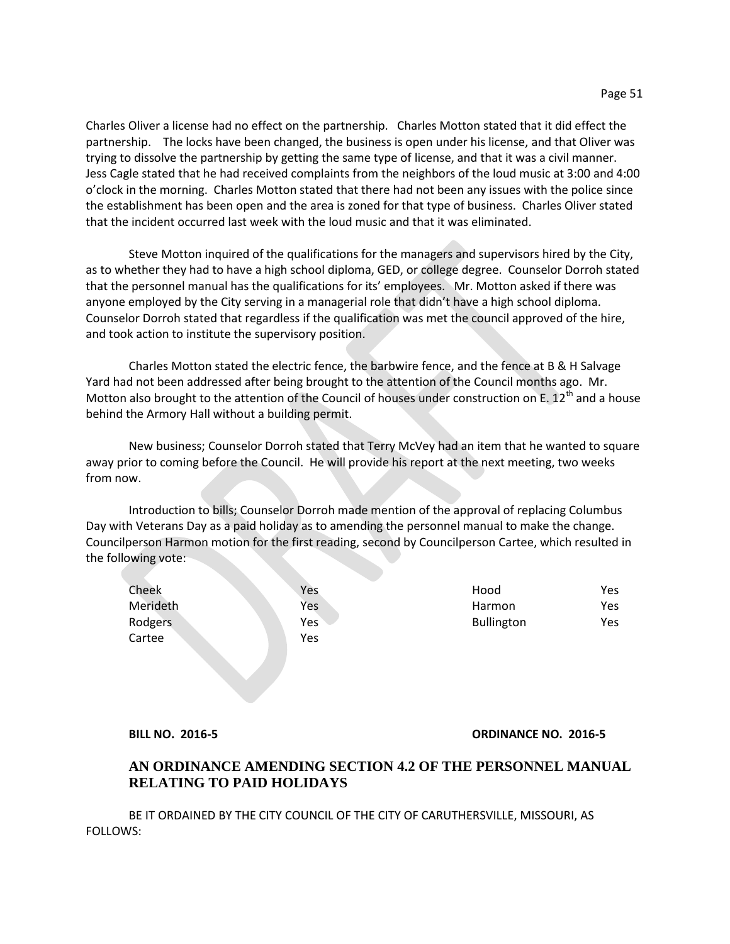Charles Oliver a license had no effect on the partnership. Charles Motton stated that it did effect the partnership. The locks have been changed, the business is open under his license, and that Oliver was trying to dissolve the partnership by getting the same type of license, and that it was a civil manner. Jess Cagle stated that he had received complaints from the neighbors of the loud music at 3:00 and 4:00 o'clock in the morning. Charles Motton stated that there had not been any issues with the police since the establishment has been open and the area is zoned for that type of business. Charles Oliver stated that the incident occurred last week with the loud music and that it was eliminated.

Steve Motton inquired of the qualifications for the managers and supervisors hired by the City, as to whether they had to have a high school diploma, GED, or college degree. Counselor Dorroh stated that the personnel manual has the qualifications for its' employees. Mr. Motton asked if there was anyone employed by the City serving in a managerial role that didn't have a high school diploma. Counselor Dorroh stated that regardless if the qualification was met the council approved of the hire, and took action to institute the supervisory position.

Charles Motton stated the electric fence, the barbwire fence, and the fence at B & H Salvage Yard had not been addressed after being brought to the attention of the Council months ago. Mr. Motton also brought to the attention of the Council of houses under construction on E.  $12^{th}$  and a house behind the Armory Hall without a building permit.

New business; Counselor Dorroh stated that Terry McVey had an item that he wanted to square away prior to coming before the Council. He will provide his report at the next meeting, two weeks from now.

Introduction to bills; Counselor Dorroh made mention of the approval of replacing Columbus Day with Veterans Day as a paid holiday as to amending the personnel manual to make the change. Councilperson Harmon motion for the first reading, second by Councilperson Cartee, which resulted in the following vote:

| Cheek    | Yes | Hood              | Yes |
|----------|-----|-------------------|-----|
| Merideth | Yes | Harmon            | Yes |
| Rodgers  | Yes | <b>Bullington</b> | Yes |
| Cartee   | Yes |                   |     |
|          |     |                   |     |

### **BILL NO. 2016-5 ORDINANCE NO. 2016-5**

# **AN ORDINANCE AMENDING SECTION 4.2 OF THE PERSONNEL MANUAL RELATING TO PAID HOLIDAYS**

BE IT ORDAINED BY THE CITY COUNCIL OF THE CITY OF CARUTHERSVILLE, MISSOURI, AS FOLLOWS: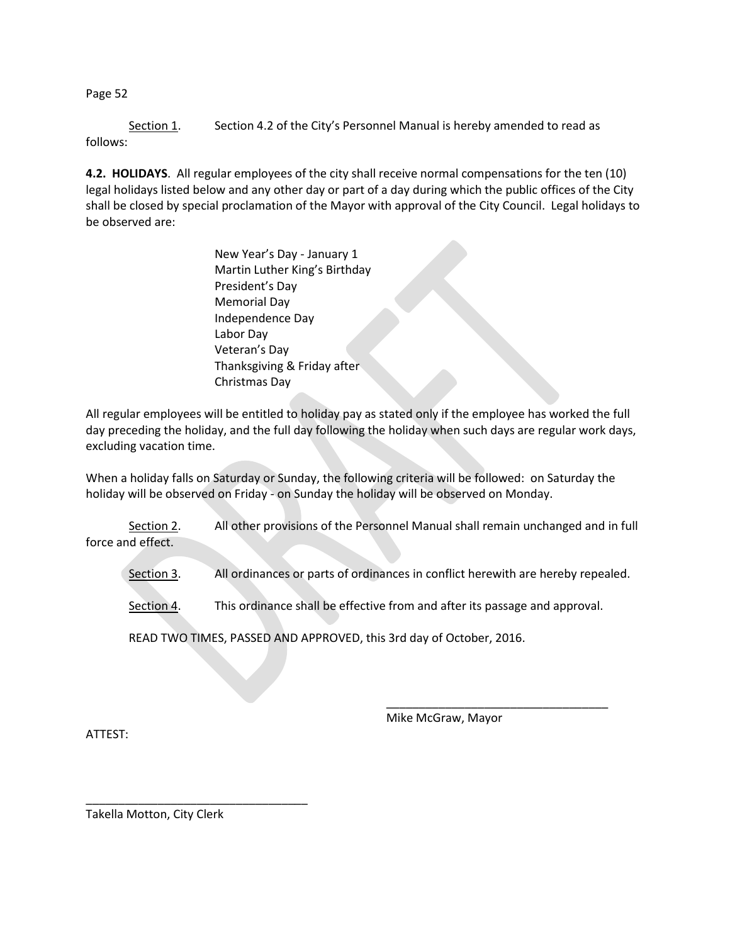Page 52

Section 1. Section 4.2 of the City's Personnel Manual is hereby amended to read as follows:

**4.2. HOLIDAYS**. All regular employees of the city shall receive normal compensations for the ten (10) legal holidays listed below and any other day or part of a day during which the public offices of the City shall be closed by special proclamation of the Mayor with approval of the City Council. Legal holidays to be observed are:

> New Year's Day - January 1 Martin Luther King's Birthday President's Day Memorial Day Independence Day Labor Day Veteran's Day Thanksgiving & Friday after Christmas Day

All regular employees will be entitled to holiday pay as stated only if the employee has worked the full day preceding the holiday, and the full day following the holiday when such days are regular work days, excluding vacation time.

When a holiday falls on Saturday or Sunday, the following criteria will be followed: on Saturday the holiday will be observed on Friday - on Sunday the holiday will be observed on Monday.

Section 2. All other provisions of the Personnel Manual shall remain unchanged and in full force and effect.

Section 3. All ordinances or parts of ordinances in conflict herewith are hereby repealed.

Section 4. This ordinance shall be effective from and after its passage and approval.

READ TWO TIMES, PASSED AND APPROVED, this 3rd day of October, 2016.

ATTEST:

Mike McGraw, Mayor

\_\_\_\_\_\_\_\_\_\_\_\_\_\_\_\_\_\_\_\_\_\_\_\_\_\_\_\_\_\_\_\_\_\_

Takella Motton, City Clerk

\_\_\_\_\_\_\_\_\_\_\_\_\_\_\_\_\_\_\_\_\_\_\_\_\_\_\_\_\_\_\_\_\_\_